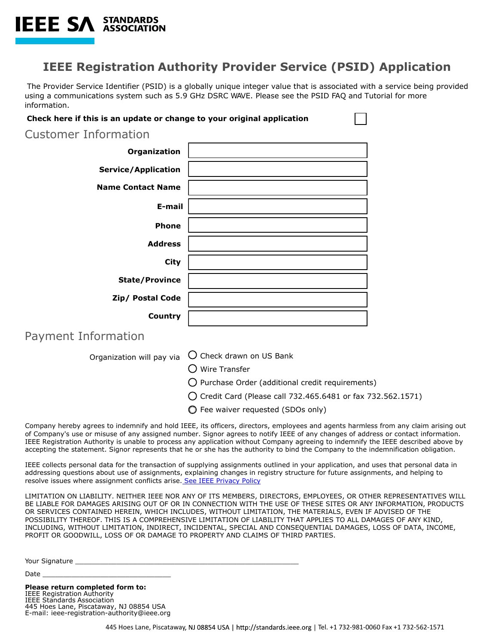

The Provider Service Identifier (PSID) is a globally unique integer value that is associated with a service being provided using a communications system such as 5.9 GHz DSRC WAVE. Please see the PSID FAQ and Tutorial for more information.

 $\Box$ 

| Check here if this is an update or change to your original application |                                                                                                                                     |
|------------------------------------------------------------------------|-------------------------------------------------------------------------------------------------------------------------------------|
| <b>Customer Information</b>                                            |                                                                                                                                     |
| Organization                                                           |                                                                                                                                     |
| <b>Service/Application</b>                                             |                                                                                                                                     |
| <b>Name Contact Name</b>                                               |                                                                                                                                     |
| E-mail                                                                 |                                                                                                                                     |
| <b>Phone</b>                                                           |                                                                                                                                     |
| <b>Address</b>                                                         |                                                                                                                                     |
| <b>City</b>                                                            |                                                                                                                                     |
| <b>State/Province</b>                                                  |                                                                                                                                     |
| Zip/ Postal Code                                                       |                                                                                                                                     |
| Country                                                                |                                                                                                                                     |
| Payment Information                                                    |                                                                                                                                     |
| Organization will pay via                                              | O Check drawn on US Bank                                                                                                            |
|                                                                        | $\bigcirc$ Wire Transfer                                                                                                            |
|                                                                        | $\bigcirc$ Purchase Order (additional credit requirements)                                                                          |
|                                                                        | ◯ Credit Card (Please call 732.465.6481 or fax 732.562.1571)                                                                        |
|                                                                        | ◯ Fee waiver requested (SDOs only)                                                                                                  |
|                                                                        | Company hereby agrees to indemnify and hold IEEE, its officers, directors, employees and agents harmless from any claim arising out |

of Company's use or misuse of any assigned number. Signor agrees to notify IEEE of any changes of address or contact information. IEEE Registration Authority is unable to process any application without Company agreeing to indemnify the IEEE described above by accepting the statement. Signor represents that he or she has the authority to bind the Company to the indemnification obligation.

IEEE collects personal data for the transaction of supplying assignments outlined in your application, and uses that personal data in addressing questions about use of assignments, explaining changes in registry structure for future assignments, and helping to resolve issues where assignment conflicts arise. [See IEEE Privacy Policy](https://www.ieee.org/security-privacy.html)

LIMITATION ON LIABILITY. NEITHER IEEE NOR ANY OF ITS MEMBERS, DIRECTORS, EMPLOYEES, OR OTHER REPRESENTATIVES WILL BE LIABLE FOR DAMAGES ARISING OUT OF OR IN CONNECTION WITH THE USE OF THESE SITES OR ANY INFORMATION, PRODUCTS OR SERVICES CONTAINED HEREIN, WHICH INCLUDES, WITHOUT LIMITATION, THE MATERIALS, EVEN IF ADVISED OF THE POSSIBILITY THEREOF. THIS IS A COMPREHENSIVE LIMITATION OF LIABILITY THAT APPLIES TO ALL DAMAGES OF ANY KIND, INCLUDING, WITHOUT LIMITATION, INDIRECT, INCIDENTAL, SPECIAL AND CONSEQUENTIAL DAMAGES, LOSS OF DATA, INCOME, PROFIT OR GOODWILL, LOSS OF OR DAMAGE TO PROPERTY AND CLAIMS OF THIRD PARTIES.

Your Signature \_\_\_\_\_\_\_\_\_\_\_\_\_\_\_\_\_\_\_\_\_\_\_\_\_\_\_\_\_\_\_\_\_\_\_\_\_\_\_\_\_\_\_\_\_\_\_\_\_\_\_\_\_\_

Date \_\_\_\_\_\_\_\_\_\_\_\_\_\_\_\_\_\_\_\_\_\_\_\_\_\_\_\_\_\_\_

**Please return completed form to:**  IEEE Registration Authority IEEE Standards Association 445 Hoes Lane, Piscataway, NJ 08854 USA E-mail: ieee-registration-authority@ieee.org

**IEEE SA STANDARDS**